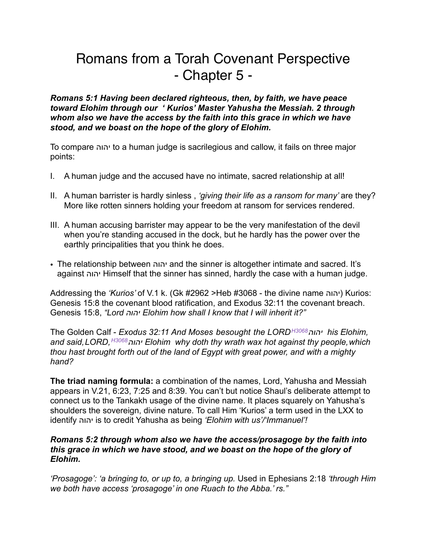# Romans from a Torah Covenant Perspective - Chapter 5 -

*Romans 5:1 Having been declared righteous, then, by faith, we have peace toward Elohim through our ' Kurios' Master Yahusha the Messiah. 2 through whom also we have the access by the faith into this grace in which we have stood, and we boast on the hope of the glory of Elohim.* 

To compare יהוה to a human judge is sacrilegious and callow, it fails on three major points:

- I. A human judge and the accused have no intimate, sacred relationship at all!
- II. A human barrister is hardly sinless , *'giving their life as a ransom for many'* are they? More like rotten sinners holding your freedom at ransom for services rendered.
- III. A human accusing barrister may appear to be the very manifestation of the devil when you're standing accused in the dock, but he hardly has the power over the earthly principalities that you think he does.
- The relationship between יהוה and the sinner is altogether intimate and sacred. It's against יהוה Himself that the sinner has sinned, hardly the case with a human judge.

Addressing the *'Kurios'* of V.1 k. (Gk #2962 >Heb #3068 - the divine name יהוה (Kurios: Genesis 15:8 the covenant blood ratification, and Exodus 32:11 the covenant breach. Genesis 15:8, *"Lord יהוה Elohim how shall I know that I will inherit it?"* 

The Golden Calf - *Exodus 32:11 And Moses besought the LORDH3068יהוה his Elohim, and said,LORD,H3068יהוה Elohim why doth thy wrath wax hot against thy people,which thou hast brought forth out of the land of Egypt with great power, and with a mighty hand?* 

**The triad naming formula:** a combination of the names, Lord, Yahusha and Messiah appears in V.21, 6:23, 7:25 and 8:39. You can't but notice Shaul's deliberate attempt to connect us to the Tankakh usage of the divine name. It places squarely on Yahusha's shoulders the sovereign, divine nature. To call Him 'Kurios' a term used in the LXX to identify יהוה is to credit Yahusha as being *'Elohim with us'/'Immanuel'!*

### *Romans 5:2 through whom also we have the access/prosagoge by the faith into this grace in which we have stood, and we boast on the hope of the glory of Elohim.*

*'Prosagoge': 'a bringing to, or up to, a bringing up.* Used in Ephesians 2:18 *'through Him we both have access 'prosagoge' in one Ruach to the Abba.' rs."*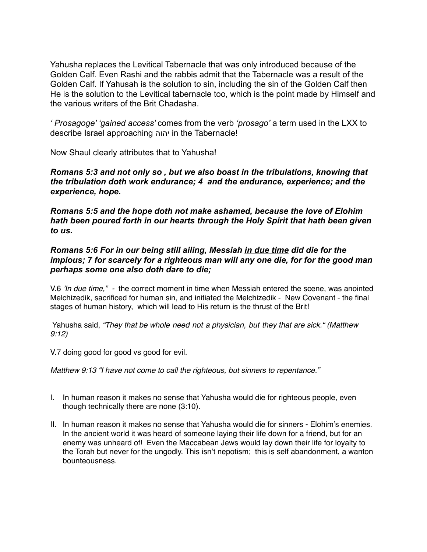Yahusha replaces the Levitical Tabernacle that was only introduced because of the Golden Calf. Even Rashi and the rabbis admit that the Tabernacle was a result of the Golden Calf. If Yahusah is the solution to sin, including the sin of the Golden Calf then He is the solution to the Levitical tabernacle too, which is the point made by Himself and the various writers of the Brit Chadasha.

*' Prosagoge' 'gained access'* comes from the verb *'prosago'* a term used in the LXX to describe Israel approaching יהוה in the Tabernacle!

Now Shaul clearly attributes that to Yahusha!

*Romans 5:3 and not only so , but we also boast in the tribulations, knowing that the tribulation doth work endurance; 4 and the endurance, experience; and the experience, hope.* 

*Romans 5:5 and the hope doth not make ashamed, because the love of Elohim hath been poured forth in our hearts through the Holy Spirit that hath been given to us.*

*Romans 5:6 For in our being still ailing, Messiah in due time did die for the impious; 7 for scarcely for a righteous man will any one die, for for the good man perhaps some one also doth dare to die;*

V.6 *'In due time," -* the correct moment in time when Messiah entered the scene, was anointed Melchizedik, sacrificed for human sin, and initiated the Melchizedik - New Covenant - the final stages of human history, which will lead to His return is the thrust of the Brit!

 Yahusha said, *"They that be whole need not a physician, but they that are sick." (Matthew 9:12)*

V.7 doing good for good vs good for evil.

*Matthew 9:13 "I have not come to call the righteous, but sinners to repentance."* 

- I. In human reason it makes no sense that Yahusha would die for righteous people, even though technically there are none (3:10).
- II. In human reason it makes no sense that Yahusha would die for sinners Elohim's enemies. In the ancient world it was heard of someone laying their life down for a friend, but for an enemy was unheard of! Even the Maccabean Jews would lay down their life for loyalty to the Torah but never for the ungodly. This isn't nepotism; this is self abandonment, a wanton bounteousness.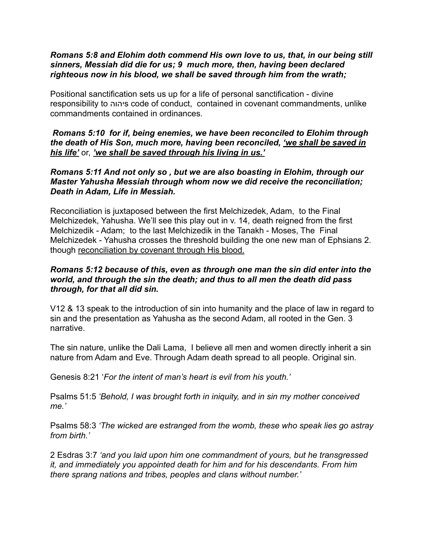#### *Romans 5:8 and Elohim doth commend His own love to us, that, in our being still sinners, Messiah did die for us; 9 much more, then, having been declared righteous now in his blood, we shall be saved through him from the wrath;*

Positional sanctification sets us up for a life of personal sanctification - divine responsibility to יהוהs code of conduct, contained in covenant commandments, unlike commandments contained in ordinances.

## *Romans 5:10 for if, being enemies, we have been reconciled to Elohim through the death of His Son, much more, having been reconciled, 'we shall be saved in his life'* or, *'we shall be saved through his living in us.'*

## *Romans 5:11 And not only so , but we are also boasting in Elohim, through our Master Yahusha Messiah through whom now we did receive the reconciliation; Death in Adam, Life in Messiah.*

Reconciliation is juxtaposed between the first Melchizedek, Adam, to the Final Melchizedek, Yahusha. We'll see this play out in v. 14, death reigned from the first Melchizedik - Adam; to the last Melchizedik in the Tanakh - Moses, The Final Melchizedek - Yahusha crosses the threshold building the one new man of Ephsians 2. though reconciliation by covenant through His blood.

# *Romans 5:12 because of this, even as through one man the sin did enter into the world, and through the sin the death; and thus to all men the death did pass through, for that all did sin.*

V12 & 13 speak to the introduction of sin into humanity and the place of law in regard to sin and the presentation as Yahusha as the second Adam, all rooted in the Gen. 3 narrative.

The sin nature, unlike the Dali Lama, I believe all men and women directly inherit a sin nature from Adam and Eve. Through Adam death spread to all people. Original sin.

Genesis 8:21 '*For the intent of man's heart is evil from his youth.'* 

Psalms 51:5 *'Behold, I was brought forth in iniquity, and in sin my mother conceived me.'* 

Psalms 58:3 *'The wicked are estranged from the womb, these who speak lies go astray from birth.'* 

2 Esdras 3:7 *'and you laid upon him one commandment of yours, but he transgressed it, and immediately you appointed death for him and for his descendants. From him there sprang nations and tribes, peoples and clans without number.'*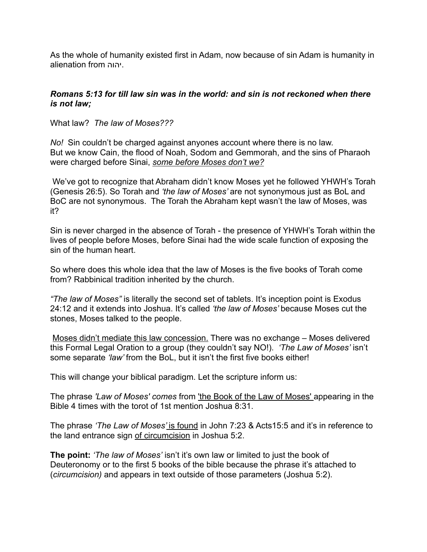As the whole of humanity existed first in Adam, now because of sin Adam is humanity in alienation from יהוה.

# *Romans 5:13 for till law sin was in the world: and sin is not reckoned when there is not law;*

What law? *The law of Moses???* 

*No!* Sin couldn't be charged against anyones account where there is no law. But we know Cain, the flood of Noah, Sodom and Gemmorah, and the sins of Pharaoh were charged before Sinai, *some before Moses don't we?* 

 We've got to recognize that Abraham didn't know Moses yet he followed YHWH's Torah (Genesis 26:5). So Torah and *'the law of Moses'* are not synonymous just as BoL and BoC are not synonymous. The Torah the Abraham kept wasn't the law of Moses, was it?

Sin is never charged in the absence of Torah - the presence of YHWH's Torah within the lives of people before Moses, before Sinai had the wide scale function of exposing the sin of the human heart.

So where does this whole idea that the law of Moses is the five books of Torah come from? Rabbinical tradition inherited by the church.

*"The law of Moses"* is literally the second set of tablets. It's inception point is Exodus 24:12 and it extends into Joshua. It's called *'the law of Moses'* because Moses cut the stones, Moses talked to the people.

Moses didn't mediate this law concession. There was no exchange – Moses delivered this Formal Legal Oration to a group (they couldn't say NO!). *'The Law of Moses'* isn't some separate *'law'* from the BoL, but it isn't the first five books either!

This will change your biblical paradigm. Let the scripture inform us:

The phrase *'Law of Moses' comes* from 'the Book of the Law of Moses' appearing in the Bible 4 times with the torot of 1st mention Joshua 8:31.

The phrase *'The Law of Moses'* is found in John 7:23 & Acts15:5 and it's in reference to the land entrance sign of circumcision in Joshua 5:2.

**The point:** *'The law of Moses'* isn't it's own law or limited to just the book of Deuteronomy or to the first 5 books of the bible because the phrase it's attached to (*circumcision)* and appears in text outside of those parameters (Joshua 5:2).